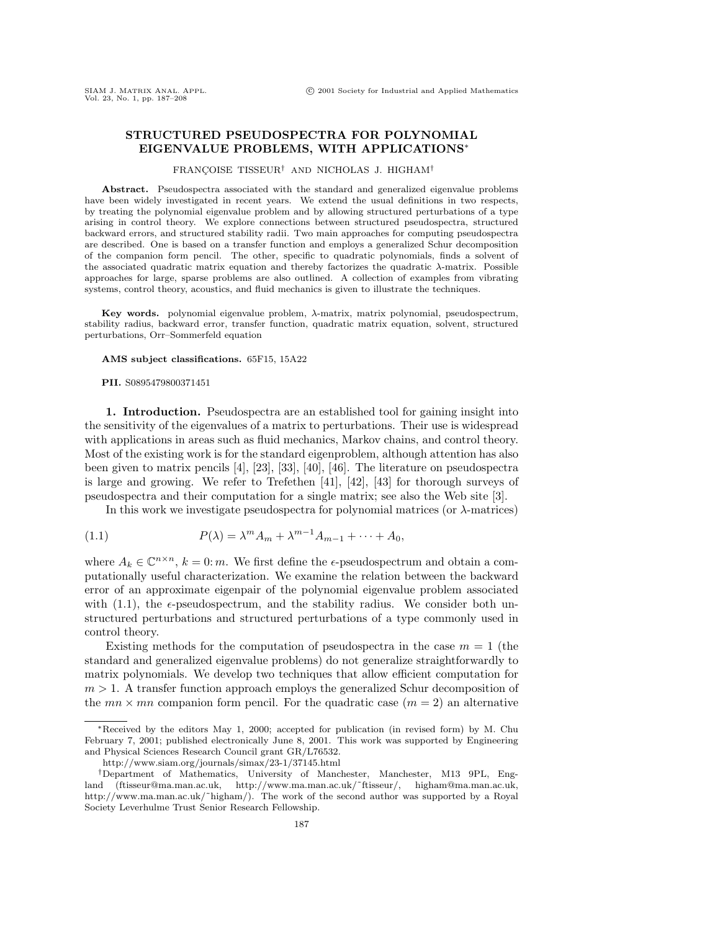# **STRUCTURED PSEUDOSPECTRA FOR POLYNOMIAL EIGENVALUE PROBLEMS, WITH APPLICATIONS**<sup>∗</sup>

### FRANÇOISE TISSEUR<sup>†</sup> AND NICHOLAS J. HIGHAM<sup>†</sup>

Abstract. Pseudospectra associated with the standard and generalized eigenvalue problems have been widely investigated in recent years. We extend the usual definitions in two respects, by treating the polynomial eigenvalue problem and by allowing structured perturbations of a type arising in control theory. We explore connections between structured pseudospectra, structured backward errors, and structured stability radii. Two main approaches for computing pseudospectra are described. One is based on a transfer function and employs a generalized Schur decomposition of the companion form pencil. The other, specific to quadratic polynomials, finds a solvent of the associated quadratic matrix equation and thereby factorizes the quadratic  $\lambda$ -matrix. Possible approaches for large, sparse problems are also outlined. A collection of examples from vibrating systems, control theory, acoustics, and fluid mechanics is given to illustrate the techniques.

**Key words.** polynomial eigenvalue problem, λ-matrix, matrix polynomial, pseudospectrum, stability radius, backward error, transfer function, quadratic matrix equation, solvent, structured perturbations, Orr–Sommerfeld equation

#### **AMS subject classifications.** 65F15, 15A22

**PII.** S0895479800371451

**1. Introduction.** Pseudospectra are an established tool for gaining insight into the sensitivity of the eigenvalues of a matrix to perturbations. Their use is widespread with applications in areas such as fluid mechanics, Markov chains, and control theory. Most of the existing work is for the standard eigenproblem, although attention has also been given to matrix pencils [4], [23], [33], [40], [46]. The literature on pseudospectra is large and growing. We refer to Trefethen [41], [42], [43] for thorough surveys of pseudospectra and their computation for a single matrix; see also the Web site [3].

In this work we investigate pseudospectra for polynomial matrices (or λ-matrices)

(1.1) 
$$
P(\lambda) = \lambda^m A_m + \lambda^{m-1} A_{m-1} + \dots + A_0,
$$

where  $A_k \in \mathbb{C}^{n \times n}$ ,  $k = 0$ : m. We first define the  $\epsilon$ -pseudospectrum and obtain a computationally useful characterization. We examine the relation between the backward error of an approximate eigenpair of the polynomial eigenvalue problem associated with  $(1.1)$ , the  $\epsilon$ -pseudospectrum, and the stability radius. We consider both unstructured perturbations and structured perturbations of a type commonly used in control theory.

Existing methods for the computation of pseudospectra in the case  $m = 1$  (the standard and generalized eigenvalue problems) do not generalize straightforwardly to matrix polynomials. We develop two techniques that allow efficient computation for  $m > 1$ . A transfer function approach employs the generalized Schur decomposition of the  $mn \times mn$  companion form pencil. For the quadratic case  $(m = 2)$  an alternative

<sup>∗</sup>Received by the editors May 1, 2000; accepted for publication (in revised form) by M. Chu February 7, 2001; published electronically June 8, 2001. This work was supported by Engineering and Physical Sciences Research Council grant GR/L76532.

http://www.siam.org/journals/simax/23-1/37145.html

<sup>†</sup>Department of Mathematics, University of Manchester, Manchester, M13 9PL, England (ftisseur@ma.man.ac.uk, http://www.ma.man.ac.uk/˜ftisseur/, higham@ma.man.ac.uk, http://www.ma.man.ac.uk/~higham/). The work of the second author was supported by a Royal Society Leverhulme Trust Senior Research Fellowship.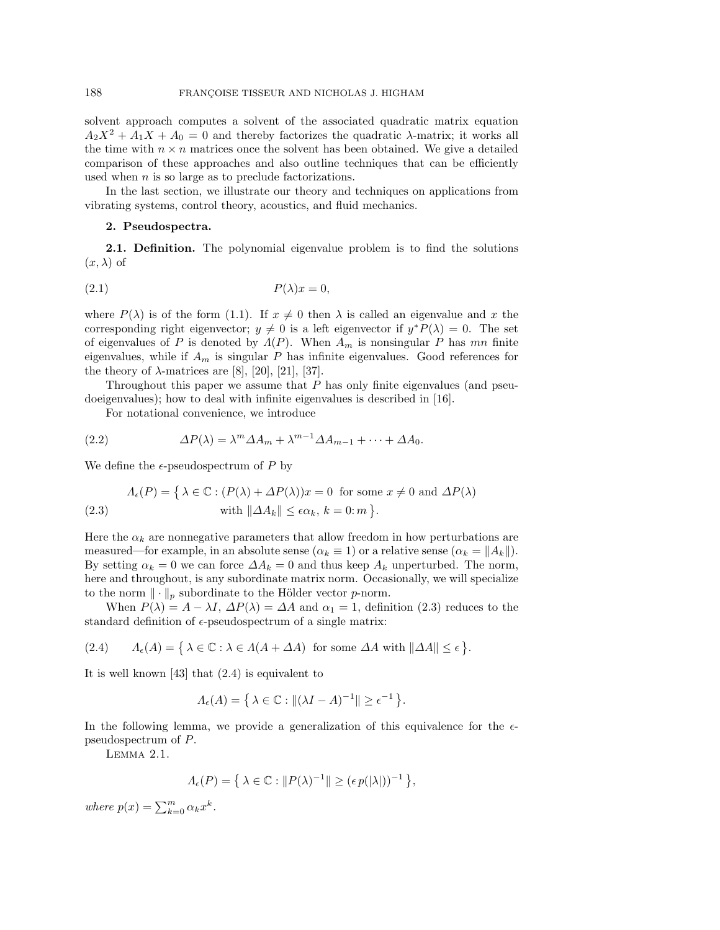solvent approach computes a solvent of the associated quadratic matrix equation  $A_2X^2 + A_1X + A_0 = 0$  and thereby factorizes the quadratic  $\lambda$ -matrix; it works all the time with  $n \times n$  matrices once the solvent has been obtained. We give a detailed comparison of these approaches and also outline techniques that can be efficiently used when  $n$  is so large as to preclude factorizations.

In the last section, we illustrate our theory and techniques on applications from vibrating systems, control theory, acoustics, and fluid mechanics.

# **2. Pseudospectra.**

**2.1. Definition.** The polynomial eigenvalue problem is to find the solutions  $(x, \lambda)$  of

$$
(2.1) \t\t P(\lambda)x = 0,
$$

where  $P(\lambda)$  is of the form (1.1). If  $x \neq 0$  then  $\lambda$  is called an eigenvalue and x the corresponding right eigenvector;  $y \neq 0$  is a left eigenvector if  $y^*P(\lambda) = 0$ . The set of eigenvalues of P is denoted by  $\Lambda(P)$ . When  $A_m$  is nonsingular P has mn finite eigenvalues, while if  $A_m$  is singular P has infinite eigenvalues. Good references for the theory of  $\lambda$ -matrices are [8], [20], [21], [37].

Throughout this paper we assume that  $P$  has only finite eigenvalues (and pseudoeigenvalues); how to deal with infinite eigenvalues is described in [16].

For notational convenience, we introduce

(2.2) 
$$
\Delta P(\lambda) = \lambda^m \Delta A_m + \lambda^{m-1} \Delta A_{m-1} + \dots + \Delta A_0.
$$

We define the  $\epsilon$ -pseudospectrum of P by

(2.3) 
$$
\Lambda_{\epsilon}(P) = \left\{ \lambda \in \mathbb{C} : (P(\lambda) + \Delta P(\lambda))x = 0 \text{ for some } x \neq 0 \text{ and } \Delta P(\lambda) \right\}
$$

$$
\text{with } \|\Delta A_k\| \le \epsilon \alpha_k, \, k = 0; m \, \}.
$$

Here the  $\alpha_k$  are nonnegative parameters that allow freedom in how perturbations are measured—for example, in an absolute sense ( $\alpha_k \equiv 1$ ) or a relative sense ( $\alpha_k = ||A_k||$ ). By setting  $\alpha_k = 0$  we can force  $\Delta A_k = 0$  and thus keep  $A_k$  unperturbed. The norm, here and throughout, is any subordinate matrix norm. Occasionally, we will specialize to the norm  $\|\cdot\|_p$  subordinate to the Hölder vector p-norm.

When  $P(\lambda) = A - \lambda I$ ,  $\Delta P(\lambda) = \Delta A$  and  $\alpha_1 = 1$ , definition (2.3) reduces to the standard definition of  $\epsilon$ -pseudospectrum of a single matrix:

(2.4)  $\Lambda_{\epsilon}(A) = \{ \lambda \in \mathbb{C} : \lambda \in \Lambda(A + \Delta A) \text{ for some } \Delta A \text{ with } ||\Delta A|| \leq \epsilon \}.$ 

It is well known [43] that  $(2.4)$  is equivalent to

$$
\Lambda_{\epsilon}(A) = \left\{ \lambda \in \mathbb{C} : \|(\lambda I - A)^{-1}\| \ge \epsilon^{-1} \right\}.
$$

In the following lemma, we provide a generalization of this equivalence for the  $\epsilon$ pseudospectrum of P.

Lemma 2.1.

$$
\Lambda_{\epsilon}(P) = \left\{ \, \lambda \in \mathbb{C} : \|P(\lambda)^{-1}\| \geq (\epsilon \, p(|\lambda|))^{-1} \, \right\},
$$

where  $p(x) = \sum_{k=0}^{m} \alpha_k x^k$ .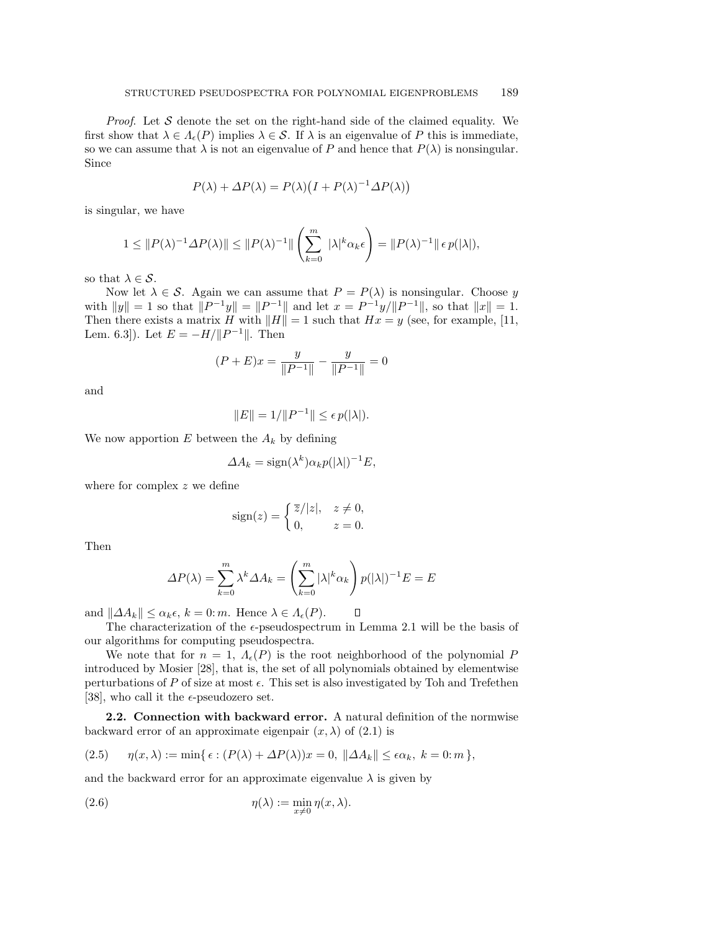*Proof.* Let S denote the set on the right-hand side of the claimed equality. We first show that  $\lambda \in A_{\epsilon}(P)$  implies  $\lambda \in S$ . If  $\lambda$  is an eigenvalue of P this is immediate, so we can assume that  $\lambda$  is not an eigenvalue of P and hence that  $P(\lambda)$  is nonsingular. Since

$$
P(\lambda) + \Delta P(\lambda) = P(\lambda) \left( I + P(\lambda)^{-1} \Delta P(\lambda) \right)
$$

is singular, we have

$$
1 \leq ||P(\lambda)^{-1} \Delta P(\lambda)|| \leq ||P(\lambda)^{-1}|| \left(\sum_{k=0}^{m} |\lambda|^k \alpha_k \epsilon\right) = ||P(\lambda)^{-1}|| \epsilon p(|\lambda|),
$$

so that  $\lambda \in \mathcal{S}$ .

Now let  $\lambda \in \mathcal{S}$ . Again we can assume that  $P = P(\lambda)$  is nonsingular. Choose y with  $||y|| = 1$  so that  $||P^{-1}y|| = ||P^{-1}||$  and let  $x = P^{-1}y/||P^{-1}||$ , so that  $||x|| = 1$ . Then there exists a matrix H with  $||H|| = 1$  such that  $Hx = y$  (see, for example, [11, Lem. 6.3]). Let  $E = -H/||P^{-1}||$ . Then

$$
(P+E)x = \frac{y}{\|P^{-1}\|} - \frac{y}{\|P^{-1}\|} = 0
$$

and

$$
||E|| = 1/||P^{-1}|| \le \epsilon \, p(|\lambda|).
$$

We now apportion  $E$  between the  $A_k$  by defining

$$
\Delta A_k = \text{sign}(\lambda^k) \alpha_k p(|\lambda|)^{-1} E,
$$

where for complex z we define

$$
sign(z) = \begin{cases} \overline{z}/|z|, & z \neq 0, \\ 0, & z = 0. \end{cases}
$$

Then

$$
\Delta P(\lambda) = \sum_{k=0}^{m} \lambda^k \Delta A_k = \left(\sum_{k=0}^{m} |\lambda|^k \alpha_k\right) p(|\lambda|)^{-1} E = E
$$

and  $||\Delta A_k|| \leq \alpha_k \epsilon$ ,  $k = 0$ : *m*. Hence  $\lambda \in A_{\epsilon}(P)$ .  $\Box$ 

The characterization of the  $\epsilon$ -pseudospectrum in Lemma 2.1 will be the basis of our algorithms for computing pseudospectra.

We note that for  $n = 1$ ,  $\Lambda_{\epsilon}(P)$  is the root neighborhood of the polynomial P introduced by Mosier [28], that is, the set of all polynomials obtained by elementwise perturbations of P of size at most  $\epsilon$ . This set is also investigated by Toh and Trefethen [38], who call it the  $\epsilon$ -pseudozero set.

**2.2. Connection with backward error.** A natural definition of the normwise backward error of an approximate eigenpair  $(x, \lambda)$  of  $(2.1)$  is

(2.5) 
$$
\eta(x,\lambda) := \min\{\epsilon : (P(\lambda) + \Delta P(\lambda))x = 0, \ \|\Delta A_k\| \le \epsilon \alpha_k, \ k = 0; m\},
$$

and the backward error for an approximate eigenvalue  $\lambda$  is given by

(2.6) 
$$
\eta(\lambda) := \min_{x \neq 0} \eta(x, \lambda).
$$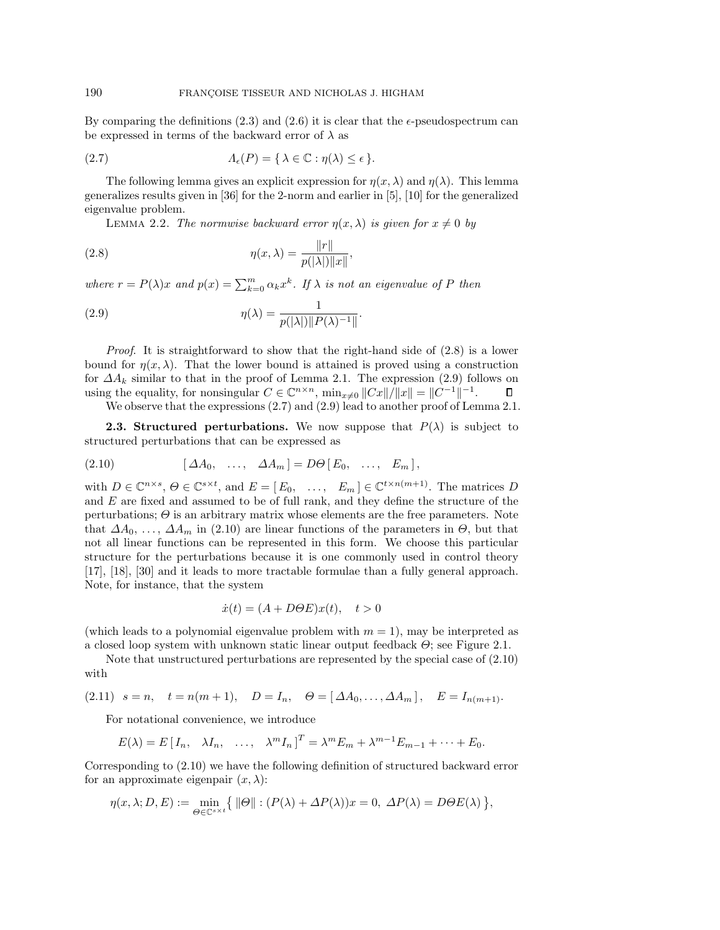By comparing the definitions  $(2.3)$  and  $(2.6)$  it is clear that the  $\epsilon$ -pseudospectrum can be expressed in terms of the backward error of  $\lambda$  as

(2.7) 
$$
\Lambda_{\epsilon}(P) = \{ \lambda \in \mathbb{C} : \eta(\lambda) \leq \epsilon \}.
$$

The following lemma gives an explicit expression for  $\eta(x, \lambda)$  and  $\eta(\lambda)$ . This lemma generalizes results given in [36] for the 2-norm and earlier in [5], [10] for the generalized eigenvalue problem.

LEMMA 2.2. The normwise backward error  $\eta(x, \lambda)$  is given for  $x \neq 0$  by

(2.8) 
$$
\eta(x,\lambda) = \frac{\|r\|}{p(|\lambda|)\|x\|},
$$

where  $r = P(\lambda)x$  and  $p(x) = \sum_{k=0}^{m} \alpha_k x^k$ . If  $\lambda$  is not an eigenvalue of P then

(2.9) 
$$
\eta(\lambda) = \frac{1}{p(|\lambda|) \| P(\lambda)^{-1} \|}.
$$

*Proof.* It is straightforward to show that the right-hand side of  $(2.8)$  is a lower bound for  $\eta(x, \lambda)$ . That the lower bound is attained is proved using a construction for  $\Delta A_k$  similar to that in the proof of Lemma 2.1. The expression (2.9) follows on using the equality, for nonsingular  $C \in \mathbb{C}^{n \times n}$ ,  $\min_{x \neq 0} ||Cx||/||x|| = ||C^{-1}||^{-1}$ .  $\Box$ We observe that the expressions  $(2.7)$  and  $(2.9)$  lead to another proof of Lemma 2.1.

**2.3. Structured perturbations.** We now suppose that  $P(\lambda)$  is subject to structured perturbations that can be expressed as

(2.10) 
$$
[\Delta A_0, \ldots, \Delta A_m] = D\Theta [E_0, \ldots, E_m],
$$

with  $D \in \mathbb{C}^{n \times s}$ ,  $\Theta \in \mathbb{C}^{s \times t}$ , and  $E = [E_0, \dots, E_m] \in \mathbb{C}^{t \times n(m+1)}$ . The matrices D and  $E$  are fixed and assumed to be of full rank, and they define the structure of the perturbations;  $\Theta$  is an arbitrary matrix whose elements are the free parameters. Note that  $\Delta A_0, \ldots, \Delta A_m$  in (2.10) are linear functions of the parameters in  $\Theta$ , but that not all linear functions can be represented in this form. We choose this particular structure for the perturbations because it is one commonly used in control theory [17], [18], [30] and it leads to more tractable formulae than a fully general approach. Note, for instance, that the system

$$
\dot{x}(t) = (A + D\Theta E)x(t), \quad t > 0
$$

(which leads to a polynomial eigenvalue problem with  $m = 1$ ), may be interpreted as a closed loop system with unknown static linear output feedback  $\Theta$ ; see Figure 2.1.

Note that unstructured perturbations are represented by the special case of (2.10) with

(2.11) 
$$
s = n
$$
,  $t = n(m+1)$ ,  $D = I_n$ ,  $\Theta = [\Delta A_0, ..., \Delta A_m]$ ,  $E = I_{n(m+1)}$ .

For notational convenience, we introduce

$$
E(\lambda) = E[I_n, \quad \lambda I_n, \quad \dots, \quad \lambda^m I_n]^T = \lambda^m E_m + \lambda^{m-1} E_{m-1} + \dots + E_0.
$$

Corresponding to (2.10) we have the following definition of structured backward error for an approximate eigenpair  $(x, \lambda)$ :

$$
\eta(x,\lambda;D,E) := \min_{\Theta \in \mathbb{C}^{s \times t}} \{ \|\Theta\| : (P(\lambda) + \Delta P(\lambda))x = 0, \ \Delta P(\lambda) = D\Theta E(\lambda) \},
$$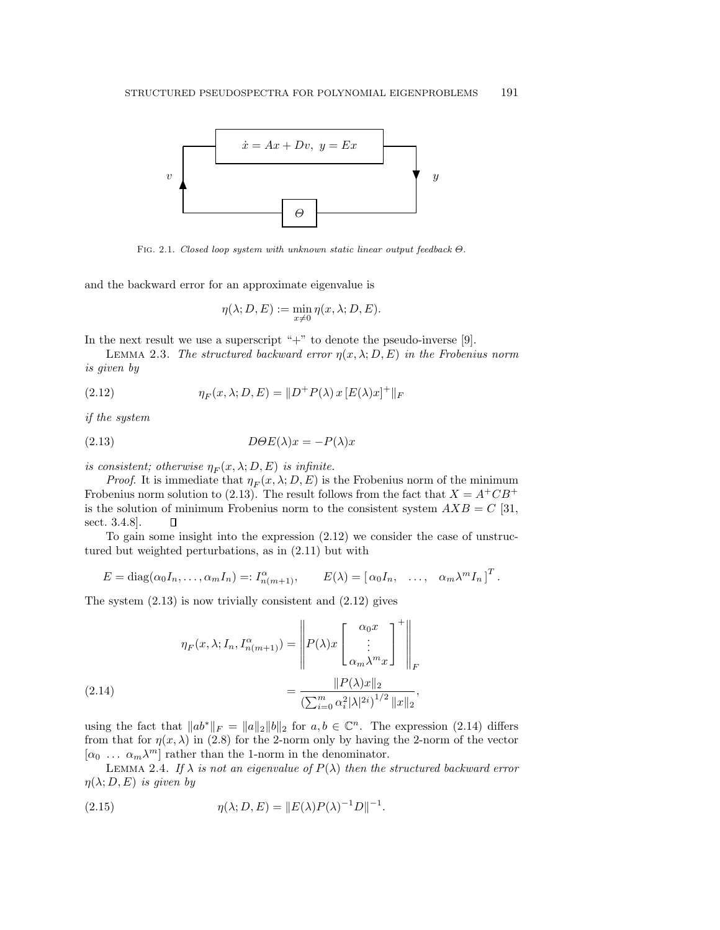

Fig. 2.1. Closed loop system with unknown static linear output feedback Θ.

and the backward error for an approximate eigenvalue is

$$
\eta(\lambda; D, E) := \min_{x \neq 0} \eta(x, \lambda; D, E).
$$

In the next result we use a superscript " $+$ " to denote the pseudo-inverse [9].

LEMMA 2.3. The structured backward error  $\eta(x, \lambda; D, E)$  in the Frobenius norm is given by

(2.12)  $\eta_F(x, \lambda; D, E) = ||D^+ P(\lambda) x [E(\lambda) x]^+||_F$ 

if the system

(2.13) 
$$
D\Theta E(\lambda)x = -P(\lambda)x
$$

is consistent; otherwise  $\eta_F(x, \lambda; D, E)$  is infinite.

*Proof.* It is immediate that  $\eta_F(x, \lambda; D, E)$  is the Frobenius norm of the minimum Frobenius norm solution to (2.13). The result follows from the fact that  $X = A^+CB^+$ is the solution of minimum Frobenius norm to the consistent system  $AXB = C$  [31, sect. 3.4.8].  $\Box$ 

To gain some insight into the expression (2.12) we consider the case of unstructured but weighted perturbations, as in (2.11) but with

$$
E = \text{diag}(\alpha_0 I_n, \dots, \alpha_m I_n) =: I_{n(m+1)}^{\alpha}, \qquad E(\lambda) = [\alpha_0 I_n, \dots, \alpha_m \lambda^m I_n]^T.
$$

The system  $(2.13)$  is now trivially consistent and  $(2.12)$  gives

(2.14) 
$$
\eta_F(x,\lambda; I_n, I_{n(m+1)}^\alpha) = \left\| P(\lambda)x \begin{bmatrix} \alpha_0 x \\ \vdots \\ \alpha_m \lambda^m x \end{bmatrix}^+ \right\|_F
$$

$$
= \frac{\| P(\lambda)x \|_2}{\left( \sum_{i=0}^m \alpha_i^2 |\lambda|^{2i} \right)^{1/2} \|x\|_2},
$$

using the fact that  $||ab^*||_F = ||a||_2 ||b||_2$  for  $a, b \in \mathbb{C}^n$ . The expression (2.14) differs from that for  $\eta(x, \lambda)$  in (2.8) for the 2-norm only by having the 2-norm of the vector  $[\alpha_0 \dots \alpha_m \lambda^m]$  rather than the 1-norm in the denominator.

LEMMA 2.4. If  $\lambda$  is not an eigenvalue of  $P(\lambda)$  then the structured backward error  $\eta(\lambda;D,E)$  is given by

(2.15) 
$$
\eta(\lambda; D, E) = ||E(\lambda)P(\lambda)^{-1}D||^{-1}.
$$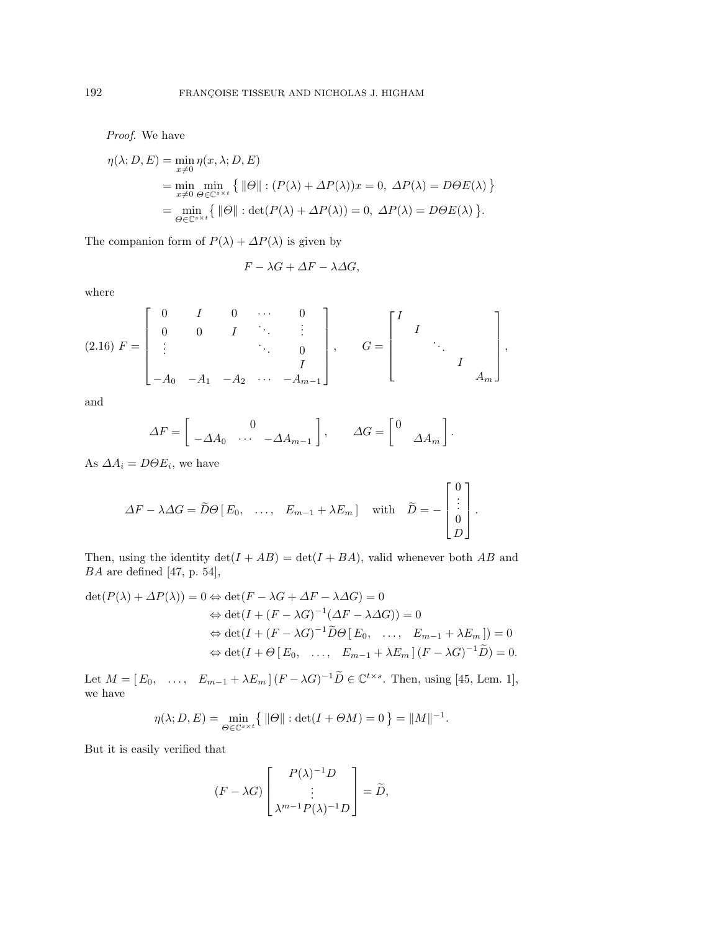Proof. We have

$$
\eta(\lambda; D, E) = \min_{x \neq 0} \eta(x, \lambda; D, E)
$$
  
= 
$$
\min_{x \neq 0} \min_{\Theta \in \mathbb{C}^{s \times t}} \{ ||\Theta|| : (P(\lambda) + \Delta P(\lambda))x = 0, \ \Delta P(\lambda) = D\Theta E(\lambda) \}
$$
  
= 
$$
\min_{\Theta \in \mathbb{C}^{s \times t}} \{ ||\Theta|| : \det(P(\lambda) + \Delta P(\lambda)) = 0, \ \Delta P(\lambda) = D\Theta E(\lambda) \}.
$$

The companion form of  $P(\lambda) + \Delta P(\lambda)$  is given by

$$
F-\lambda G+\varDelta F-\lambda\varDelta G,
$$

where

$$
(2.16) \ F = \begin{bmatrix} 0 & I & 0 & \cdots & 0 \\ 0 & 0 & I & \ddots & \vdots \\ \vdots & & & \ddots & 0 \\ -A_0 & -A_1 & -A_2 & \cdots & -A_{m-1} \end{bmatrix}, \quad G = \begin{bmatrix} I & & & \\ & I & & \\ & & \ddots & \\ & & & I \\ & & & & A_m \end{bmatrix},
$$

and

$$
\Delta F = \begin{bmatrix} 0 & \Delta A_0 & \cdots & -\Delta A_{m-1} \end{bmatrix}, \qquad \Delta G = \begin{bmatrix} 0 & \Delta A_m \end{bmatrix}.
$$

As  $\Delta A_i = D\Theta E_i$ , we have

$$
\Delta F - \lambda \Delta G = \widetilde{D} \Theta \begin{bmatrix} E_0, & \dots, & E_{m-1} + \lambda E_m \end{bmatrix} \quad \text{with} \quad \widetilde{D} = - \begin{bmatrix} 0 \\ \vdots \\ 0 \\ D \end{bmatrix}.
$$

Then, using the identity  $\det(I + AB) = \det(I + BA)$ , valid whenever both AB and BA are defined [47, p. 54],

$$
\det(P(\lambda) + \Delta P(\lambda)) = 0 \Leftrightarrow \det(F - \lambda G + \Delta F - \lambda \Delta G) = 0
$$
  
\n
$$
\Leftrightarrow \det(I + (F - \lambda G)^{-1}(\Delta F - \lambda \Delta G)) = 0
$$
  
\n
$$
\Leftrightarrow \det(I + (F - \lambda G)^{-1}\widetilde{D}\Theta[E_0, \dots, E_{m-1} + \lambda E_m]) = 0
$$
  
\n
$$
\Leftrightarrow \det(I + \Theta[E_0, \dots, E_{m-1} + \lambda E_m](F - \lambda G)^{-1}\widetilde{D}) = 0.
$$

Let  $M = [E_0, \ldots, E_{m-1} + \lambda E_m] (F - \lambda G)^{-1} \widetilde{D} \in \mathbb{C}^{t \times s}$ . Then, using [45, Lem. 1], we have

$$
\eta(\lambda; D, E) = \min_{\Theta \in \mathbb{C}^{s \times t}} \{ \|\Theta\| : \det(I + \Theta M) = 0 \} = \|M\|^{-1}.
$$

But it is easily verified that

$$
(F - \lambda G) \begin{bmatrix} P(\lambda)^{-1}D \\ \vdots \\ \lambda^{m-1}P(\lambda)^{-1}D \end{bmatrix} = \widetilde{D},
$$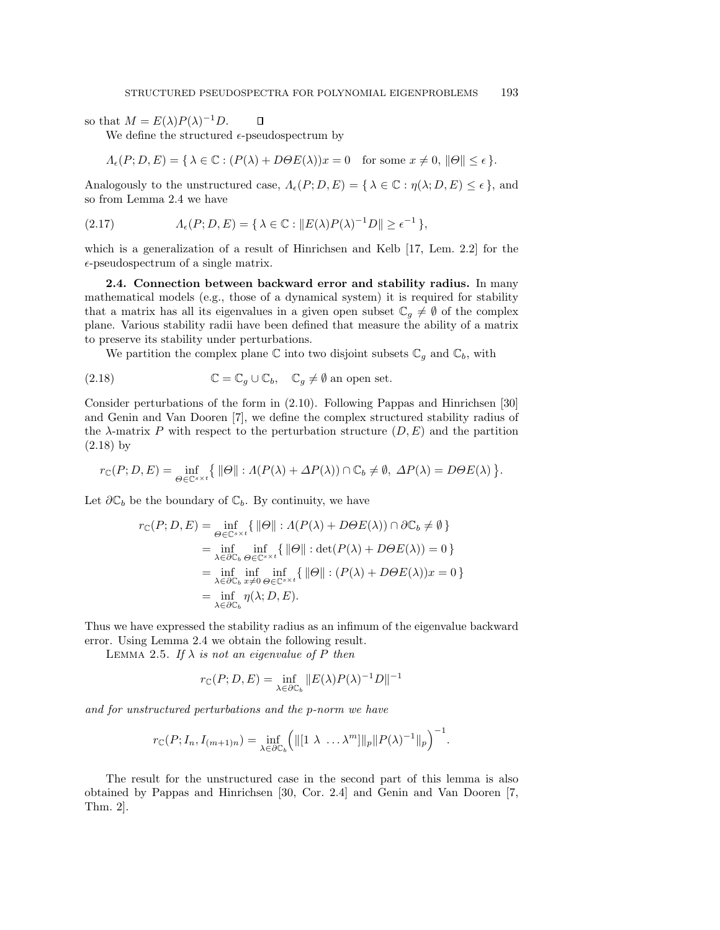so that  $M = E(\lambda)P(\lambda)^{-1}D$ .

We define the structured  $\epsilon$ -pseudospectrum by

$$
\Lambda_{\epsilon}(P; D, E) = \{ \lambda \in \mathbb{C} : (P(\lambda) + D\Theta E(\lambda))x = 0 \text{ for some } x \neq 0, ||\Theta|| \le \epsilon \}.
$$

Analogously to the unstructured case,  $\Lambda_{\epsilon}(P; D, E) = {\lambda \in \mathbb{C} : \eta(\lambda; D, E) \leq \epsilon}$ , and so from Lemma 2.4 we have

(2.17) 
$$
\Lambda_{\epsilon}(P; D, E) = \{ \lambda \in \mathbb{C} : ||E(\lambda)P(\lambda)^{-1}D|| \geq \epsilon^{-1} \},
$$

 $\Box$ 

which is a generalization of a result of Hinrichsen and Kelb  $[17, \text{ Lem. } 2.2]$  for the  $\epsilon$ -pseudospectrum of a single matrix.

**2.4. Connection between backward error and stability radius.** In many mathematical models (e.g., those of a dynamical system) it is required for stability that a matrix has all its eigenvalues in a given open subset  $\mathbb{C}_q \neq \emptyset$  of the complex plane. Various stability radii have been defined that measure the ability of a matrix to preserve its stability under perturbations.

We partition the complex plane  $\mathbb C$  into two disjoint subsets  $\mathbb C_g$  and  $\mathbb C_b$ , with

(2.18) 
$$
\mathbb{C} = \mathbb{C}_g \cup \mathbb{C}_b, \quad \mathbb{C}_g \neq \emptyset \text{ an open set.}
$$

Consider perturbations of the form in (2.10). Following Pappas and Hinrichsen [30] and Genin and Van Dooren [7], we define the complex structured stability radius of the  $\lambda$ -matrix P with respect to the perturbation structure  $(D, E)$  and the partition (2.18) by

$$
r_{\mathbb{C}}(P;D,E) = \inf_{\Theta \in \mathbb{C}^{s \times t}} \{ \|\Theta\| : \Lambda(P(\lambda) + \Delta P(\lambda)) \cap \mathbb{C}_b \neq \emptyset, \ \Delta P(\lambda) = D\Theta E(\lambda) \}.
$$

Let  $\partial \mathbb{C}_b$  be the boundary of  $\mathbb{C}_b$ . By continuity, we have

$$
r_{\mathbb{C}}(P; D, E) = \inf_{\Theta \in \mathbb{C}^{s} \times t} \{ \|\Theta\| : \Lambda(P(\lambda) + D\Theta E(\lambda)) \cap \partial \mathbb{C}_b \neq \emptyset \}
$$
  
\n
$$
= \inf_{\lambda \in \partial \mathbb{C}_b} \inf_{\Theta \in \mathbb{C}^{s} \times t} \{ \|\Theta\| : \det(P(\lambda) + D\Theta E(\lambda)) = 0 \}
$$
  
\n
$$
= \inf_{\lambda \in \partial \mathbb{C}_b} \inf_{x \neq 0} \inf_{\Theta \in \mathbb{C}^{s} \times t} \{ \|\Theta\| : (P(\lambda) + D\Theta E(\lambda))x = 0 \}
$$
  
\n
$$
= \inf_{\lambda \in \partial \mathbb{C}_b} \eta(\lambda; D, E).
$$

Thus we have expressed the stability radius as an infimum of the eigenvalue backward error. Using Lemma 2.4 we obtain the following result.

LEMMA 2.5. If  $\lambda$  is not an eigenvalue of P then

$$
r_{\mathbb{C}}(P; D, E) = \inf_{\lambda \in \partial \mathbb{C}_b} ||E(\lambda)P(\lambda)^{-1}D||^{-1}
$$

and for unstructured perturbations and the p-norm we have

$$
r_{\mathbb{C}}(P; I_n, I_{(m+1)n}) = \inf_{\lambda \in \partial \mathbb{C}_b} (||[1 \lambda \dots \lambda^m]||_p || P(\lambda)^{-1}||_p)^{-1}.
$$

The result for the unstructured case in the second part of this lemma is also obtained by Pappas and Hinrichsen  $[30, \text{Cor. } 2.4]$  and Genin and Van Dooren  $[7, \text{Cor. } 2.4]$ Thm. 2].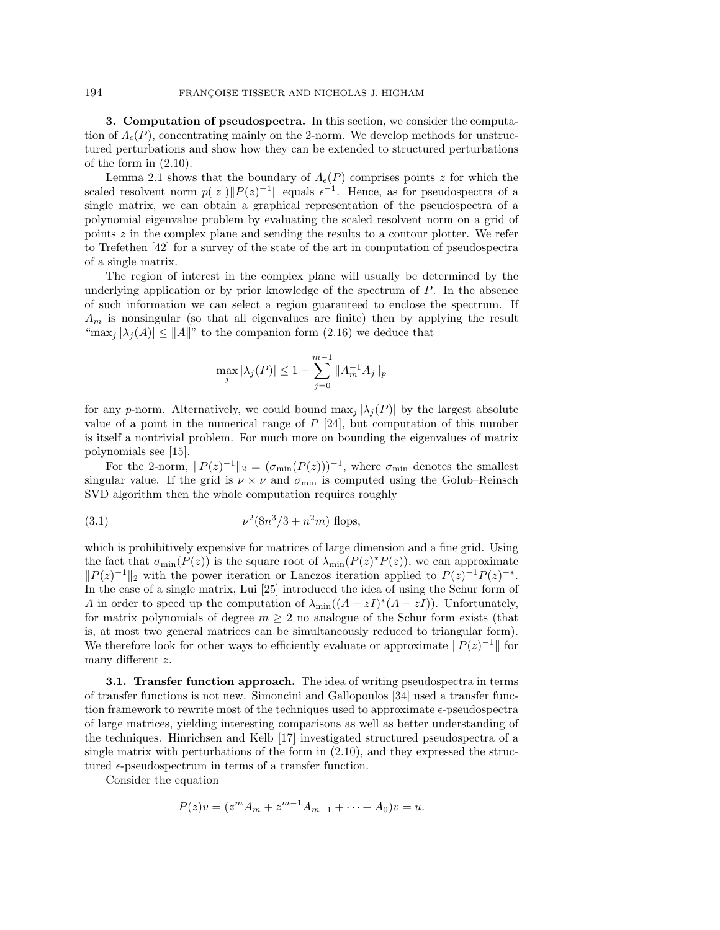**3. Computation of pseudospectra.** In this section, we consider the computation of  $\Lambda_{\epsilon}(P)$ , concentrating mainly on the 2-norm. We develop methods for unstructured perturbations and show how they can be extended to structured perturbations of the form in (2.10).

Lemma 2.1 shows that the boundary of  $\Lambda_{\epsilon}(P)$  comprises points z for which the scaled resolvent norm  $p(|z|)||P(z)^{-1}||$  equals  $\epsilon^{-1}$ . Hence, as for pseudospectra of a single matrix, we can obtain a graphical representation of the pseudospectra of a polynomial eigenvalue problem by evaluating the scaled resolvent norm on a grid of points z in the complex plane and sending the results to a contour plotter. We refer to Trefethen  $[42]$  for a survey of the state of the art in computation of pseudospectra of a single matrix.

The region of interest in the complex plane will usually be determined by the underlying application or by prior knowledge of the spectrum of P. In the absence of such information we can select a region guaranteed to enclose the spectrum. If  $A_m$  is nonsingular (so that all eigenvalues are finite) then by applying the result "max<sub>j</sub>  $|\lambda_j(A)| \leq ||A||$ " to the companion form (2.16) we deduce that

$$
\max_{j} |\lambda_j(P)| \le 1 + \sum_{j=0}^{m-1} \|A_m^{-1} A_j\|_p
$$

for any p-norm. Alternatively, we could bound  $\max_i |\lambda_i(P)|$  by the largest absolute value of a point in the numerical range of  $P$  [24], but computation of this number is itself a nontrivial problem. For much more on bounding the eigenvalues of matrix polynomials see [15].

For the 2-norm,  $||P(z)^{-1}||_2 = (\sigma_{\min}(P(z)))^{-1}$ , where  $\sigma_{\min}$  denotes the smallest singular value. If the grid is  $\nu \times \nu$  and  $\sigma_{\min}$  is computed using the Golub–Reinsch SVD algorithm then the whole computation requires roughly

(3.1) 
$$
\nu^2(8n^3/3 + n^2m) \text{ flops},
$$

which is prohibitively expensive for matrices of large dimension and a fine grid. Using the fact that  $\sigma_{\min}(P(z))$  is the square root of  $\lambda_{\min}(P(z)^*P(z))$ , we can approximate  $||P(z)^{-1}||_2$  with the power iteration or Lanczos iteration applied to  $P(z)^{-1}P(z)^{-*}$ . In the case of a single matrix, Lui [25] introduced the idea of using the Schur form of A in order to speed up the computation of  $\lambda_{\min}((A-zI)^*(A-zI))$ . Unfortunately, for matrix polynomials of degree  $m \geq 2$  no analogue of the Schur form exists (that is, at most two general matrices can be simultaneously reduced to triangular form). We therefore look for other ways to efficiently evaluate or approximate  $||P(z)^{-1}||$  for many different z.

**3.1. Transfer function approach.** The idea of writing pseudospectra in terms of transfer functions is not new. Simoncini and Gallopoulos  $[34]$  used a transfer function framework to rewrite most of the techniques used to approximate  $\epsilon$ -pseudospectra of large matrices, yielding interesting comparisons as well as better understanding of the techniques. Hinrichsen and Kelb [17] investigated structured pseudospectra of a single matrix with perturbations of the form in (2.10), and they expressed the structured  $\epsilon$ -pseudospectrum in terms of a transfer function.

Consider the equation

$$
P(z)v = (zmAm + zm-1Am-1 + \dots + A0)v = u.
$$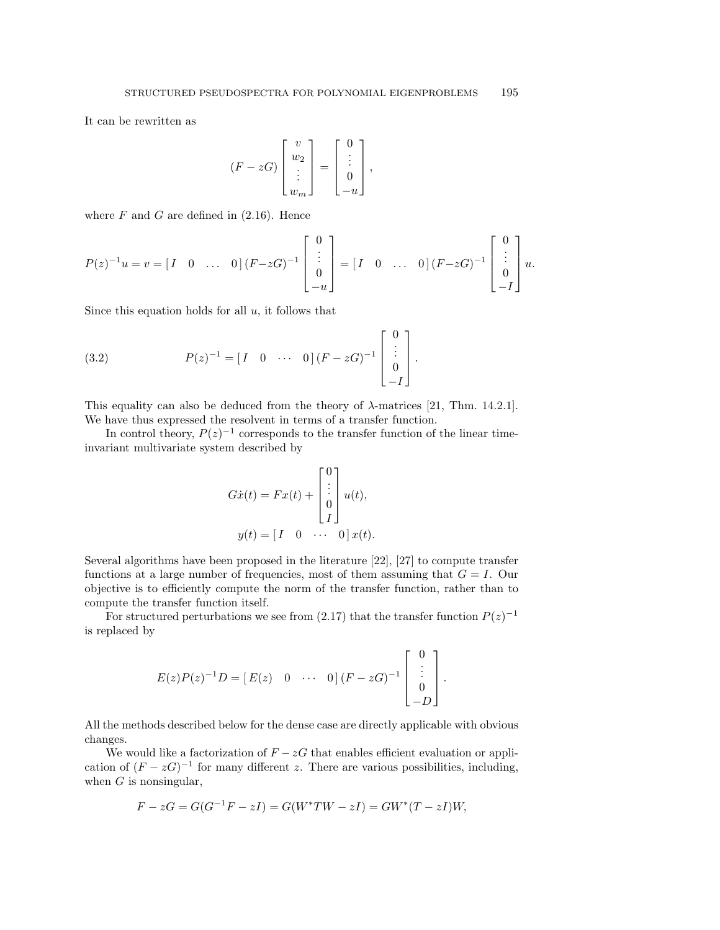It can be rewritten as

$$
(F - zG) \begin{bmatrix} v \\ w_2 \\ \vdots \\ w_m \end{bmatrix} = \begin{bmatrix} 0 \\ \vdots \\ 0 \\ -u \end{bmatrix},
$$

where  $F$  and  $G$  are defined in  $(2.16)$ . Hence

$$
P(z)^{-1}u = v = \begin{bmatrix} I & 0 & \dots & 0 \end{bmatrix} (F - zG)^{-1} \begin{bmatrix} 0 \\ \vdots \\ 0 \\ -u \end{bmatrix} = \begin{bmatrix} I & 0 & \dots & 0 \end{bmatrix} (F - zG)^{-1} \begin{bmatrix} 0 \\ \vdots \\ 0 \\ -I \end{bmatrix} u.
$$

Since this equation holds for all  $u$ , it follows that

(3.2) 
$$
P(z)^{-1} = [I \quad 0 \quad \cdots \quad 0] (F - zG)^{-1} \begin{bmatrix} 0 \\ \vdots \\ 0 \\ -I \end{bmatrix}.
$$

This equality can also be deduced from the theory of  $\lambda$ -matrices [21, Thm. 14.2.1]. We have thus expressed the resolvent in terms of a transfer function.

In control theory,  $P(z)^{-1}$  corresponds to the transfer function of the linear timeinvariant multivariate system described by

$$
G\dot{x}(t) = Fx(t) + \begin{bmatrix} 0 \\ \vdots \\ 0 \\ I \end{bmatrix} u(t),
$$

$$
y(t) = \begin{bmatrix} I & 0 & \cdots & 0 \end{bmatrix} x(t).
$$

Several algorithms have been proposed in the literature [22], [27] to compute transfer functions at a large number of frequencies, most of them assuming that  $G = I$ . Our objective is to efficiently compute the norm of the transfer function, rather than to compute the transfer function itself.

For structured perturbations we see from (2.17) that the transfer function  $P(z)^{-1}$ is replaced by

$$
E(z)P(z)^{-1}D = [E(z) \quad 0 \quad \cdots \quad 0] (F - zG)^{-1} \begin{bmatrix} 0 \\ \vdots \\ 0 \\ -D \end{bmatrix}.
$$

All the methods described below for the dense case are directly applicable with obvious changes.

We would like a factorization of  $F - zG$  that enables efficient evaluation or application of  $(F - zG)^{-1}$  for many different z. There are various possibilities, including, when  $G$  is nonsingular,

$$
F - zG = G(G^{-1}F - zI) = G(W^*TW - zI) = GW^*(T - zI)W,
$$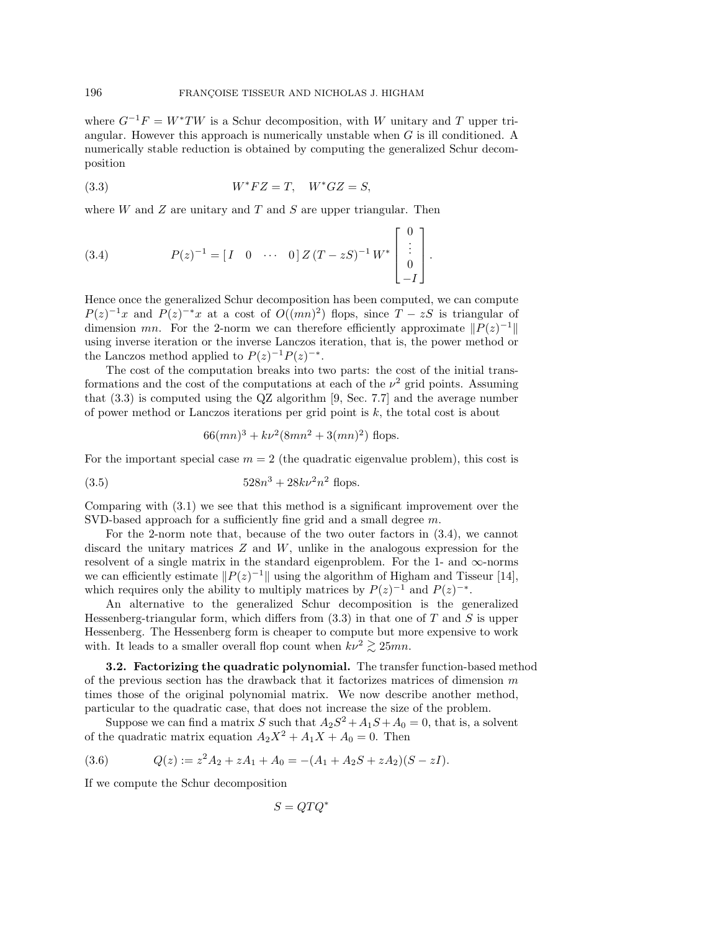where  $G^{-1}F = W^*TW$  is a Schur decomposition, with W unitary and T upper triangular. However this approach is numerically unstable when  $G$  is ill conditioned. A numerically stable reduction is obtained by computing the generalized Schur decomposition

$$
(3.3) \t W^* FZ = T, \t W^* GZ = S,
$$

where  $W$  and  $Z$  are unitary and  $T$  and  $S$  are upper triangular. Then

(3.4) 
$$
P(z)^{-1} = [I \quad 0 \quad \cdots \quad 0] Z(T - zS)^{-1} W^* \begin{bmatrix} 0 \\ \vdots \\ 0 \\ -I \end{bmatrix}.
$$

Hence once the generalized Schur decomposition has been computed, we can compute  $P(z)^{-1}x$  and  $P(z)^{-*}x$  at a cost of  $O((mn)^2)$  flops, since  $T - zS$  is triangular of dimension mn. For the 2-norm we can therefore efficiently approximate  $||P(z)^{-1}||$ using inverse iteration or the inverse Lanczos iteration, that is, the power method or the Lanczos method applied to  $P(z)^{-1}P(z)^{-*}$ .

The cost of the computation breaks into two parts: the cost of the initial transformations and the cost of the computations at each of the  $\nu^2$  grid points. Assuming that  $(3.3)$  is computed using the QZ algorithm [9, Sec. 7.7] and the average number of power method or Lanczos iterations per grid point is k, the total cost is about

$$
66(mn)^3 + k\nu^2(8mn^2 + 3(mn)^2)
$$
 flops.

For the important special case  $m = 2$  (the quadratic eigenvalue problem), this cost is

(3.5) 
$$
528n^3 + 28k\nu^2 n^2 \text{ flops}.
$$

Comparing with (3.1) we see that this method is a significant improvement over the SVD-based approach for a sufficiently fine grid and a small degree m.

For the 2-norm note that, because of the two outer factors in (3.4), we cannot discard the unitary matrices  $Z$  and  $W$ , unlike in the analogous expression for the resolvent of a single matrix in the standard eigenproblem. For the 1- and  $\infty$ -norms we can efficiently estimate  $||P(z)^{-1}||$  using the algorithm of Higham and Tisseur [14], which requires only the ability to multiply matrices by  $P(z)^{-1}$  and  $P(z)^{-*}$ .

An alternative to the generalized Schur decomposition is the generalized Hessenberg-triangular form, which differs from  $(3.3)$  in that one of T and S is upper Hessenberg. The Hessenberg form is cheaper to compute but more expensive to work with. It leads to a smaller overall flop count when  $kv^2 \ge 25mn$ .

**3.2. Factorizing the quadratic polynomial.** The transfer function-based method of the previous section has the drawback that it factorizes matrices of dimension  $m$ times those of the original polynomial matrix. We now describe another method, particular to the quadratic case, that does not increase the size of the problem.

Suppose we can find a matrix S such that  $A_2S^2 + A_1S + A_0 = 0$ , that is, a solvent of the quadratic matrix equation  $A_2X^2 + A_1X + A_0 = 0$ . Then

(3.6) 
$$
Q(z) := z^2 A_2 + z A_1 + A_0 = -(A_1 + A_2 S + z A_2)(S - z I).
$$

If we compute the Schur decomposition

$$
S = QTQ^*
$$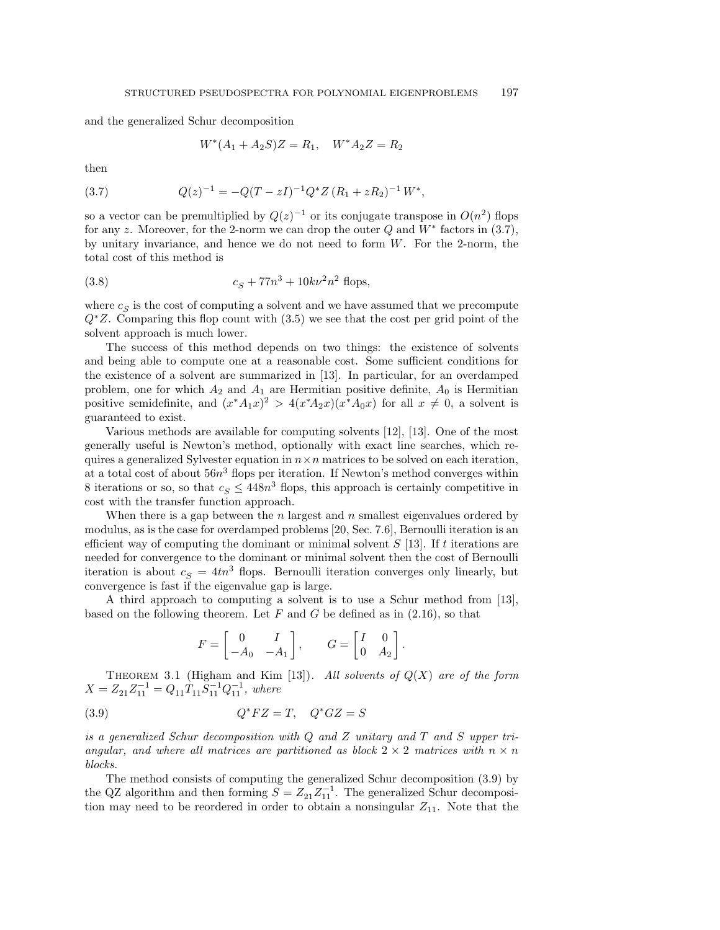and the generalized Schur decomposition

$$
W^*(A_1 + A_2S)Z = R_1, \quad W^*A_2Z = R_2
$$

then

(3.7) 
$$
Q(z)^{-1} = -Q(T - zI)^{-1}Q^*Z (R_1 + zR_2)^{-1}W^*,
$$

so a vector can be premultiplied by  $Q(z)^{-1}$  or its conjugate transpose in  $O(n^2)$  flops for any z. Moreover, for the 2-norm we can drop the outer  $Q$  and  $W^*$  factors in (3.7), by unitary invariance, and hence we do not need to form  $W$ . For the 2-norm, the total cost of this method is

(3.8) 
$$
c_S + 77n^3 + 10k\nu^2n^2
$$
 flops,

where  $c_S$  is the cost of computing a solvent and we have assumed that we precompute  $Q^*Z$ . Comparing this flop count with (3.5) we see that the cost per grid point of the solvent approach is much lower.

The success of this method depends on two things: the existence of solvents and being able to compute one at a reasonable cost. Some sufficient conditions for the existence of a solvent are summarized in [13]. In particular, for an overdamped problem, one for which  $A_2$  and  $A_1$  are Hermitian positive definite,  $A_0$  is Hermitian positive semidefinite, and  $(x^*A_1x)^2 > 4(x^*A_2x)(x^*A_0x)$  for all  $x \neq 0$ , a solvent is guaranteed to exist.

Various methods are available for computing solvents [12], [13]. One of the most generally useful is Newton's method, optionally with exact line searches, which requires a generalized Sylvester equation in  $n \times n$  matrices to be solved on each iteration, at a total cost of about  $56n<sup>3</sup>$  flops per iteration. If Newton's method converges within 8 iterations or so, so that  $c_S \leq 448n^3$  flops, this approach is certainly competitive in cost with the transfer function approach.

When there is a gap between the  $n$  largest and  $n$  smallest eigenvalues ordered by modulus, as is the case for overdamped problems [20, Sec. 7.6], Bernoulli iteration is an efficient way of computing the dominant or minimal solvent  $S$  [13]. If t iterations are needed for convergence to the dominant or minimal solvent then the cost of Bernoulli iteration is about  $c_S = 4tn^3$  flops. Bernoulli iteration converges only linearly, but convergence is fast if the eigenvalue gap is large.

A third approach to computing a solvent is to use a Schur method from [13], based on the following theorem. Let  $F$  and  $G$  be defined as in  $(2.16)$ , so that

$$
F = \begin{bmatrix} 0 & I \\ -A_0 & -A_1 \end{bmatrix}, \qquad G = \begin{bmatrix} I & 0 \\ 0 & A_2 \end{bmatrix}.
$$

THEOREM 3.1 (Higham and Kim [13]). All solvents of  $Q(X)$  are of the form  $X = Z_{21}Z_{11}^{-1} = Q_{11}T_{11}S_{11}^{-1}Q_{11}^{-1}$ , where

$$
(3.9) \tQ^* FZ = T, \tQ^* GZ = S
$$

is a generalized Schur decomposition with  $Q$  and  $Z$  unitary and  $T$  and  $S$  upper triangular, and where all matrices are partitioned as block  $2 \times 2$  matrices with  $n \times n$ blocks.

The method consists of computing the generalized Schur decomposition (3.9) by the QZ algorithm and then forming  $S = Z_{21}Z_{11}^{-1}$ . The generalized Schur decomposition may need to be reordered in order to obtain a nonsingular  $Z_{11}$ . Note that the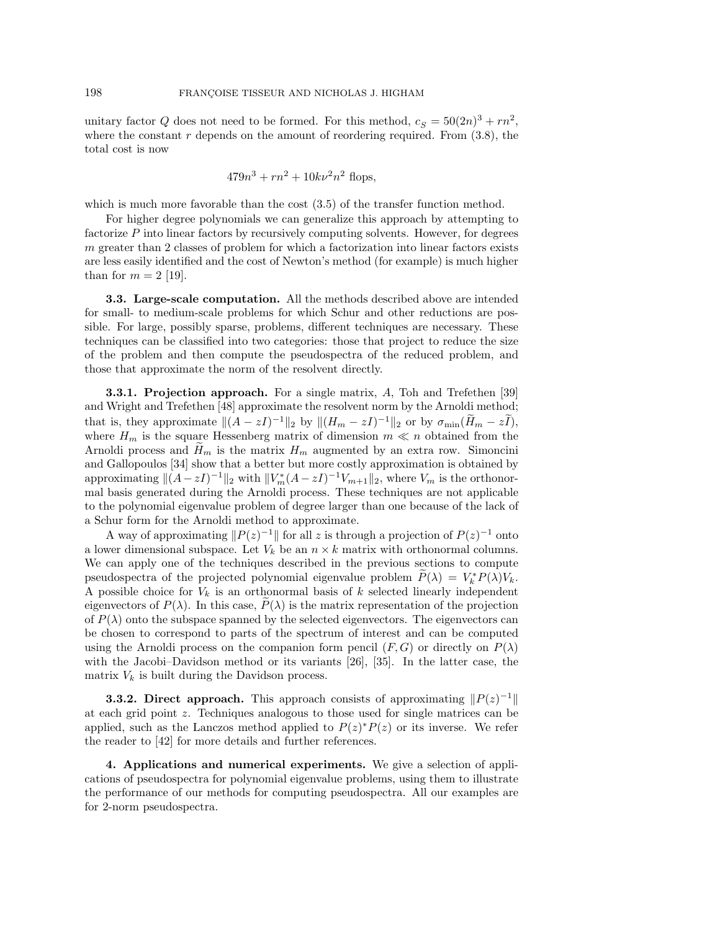unitary factor Q does not need to be formed. For this method,  $c_S = 50(2n)^3 + rn^2$ , where the constant  $r$  depends on the amount of reordering required. From  $(3.8)$ , the total cost is now

$$
479n^3 + rn^2 + 10k\nu^2n^2
$$
 flops,

which is much more favorable than the cost  $(3.5)$  of the transfer function method.

For higher degree polynomials we can generalize this approach by attempting to factorize  $P$  into linear factors by recursively computing solvents. However, for degrees m greater than 2 classes of problem for which a factorization into linear factors exists are less easily identified and the cost of Newton's method (for example) is much higher than for  $m = 2$  [19].

**3.3. Large-scale computation.** All the methods described above are intended for small- to medium-scale problems for which Schur and other reductions are possible. For large, possibly sparse, problems, different techniques are necessary. These techniques can be classified into two categories: those that project to reduce the size of the problem and then compute the pseudospectra of the reduced problem, and those that approximate the norm of the resolvent directly.

**3.3.1. Projection approach.** For a single matrix, A, Toh and Trefethen [39] and Wright and Trefethen [48] approximate the resolvent norm by the Arnoldi method; that is, they approximate  $||(A - zI)^{-1}||_2$  by  $||(H_m - zI)^{-1}||_2$  or by  $\sigma_{\min}(\tilde{H}_m - zI)$ , where  $H_m$  is the square Hessenberg matrix of dimension  $m \ll n$  obtained from the Arnoldi process and  $H_m$  is the matrix  $H_m$  augmented by an extra row. Simoncini and Gallopoulos [34] show that a better but more costly approximation is obtained by approximating  $\|(A-zI)^{-1}\|_2$  with  $\|V_m^*(A-zI)^{-1}V_{m+1}\|_2$ , where  $V_m$  is the orthonormal basis generated during the Arnoldi process. These techniques are not applicable to the polynomial eigenvalue problem of degree larger than one because of the lack of a Schur form for the Arnoldi method to approximate.

A way of approximating  $||P(z)^{-1}||$  for all z is through a projection of  $P(z)^{-1}$  onto a lower dimensional subspace. Let  $V_k$  be an  $n \times k$  matrix with orthonormal columns. We can apply one of the techniques described in the previous sections to compute pseudospectra of the projected polynomial eigenvalue problem  $P(\lambda) = V_k^* P(\lambda) V_k$ . A possible choice for  $V_k$  is an orthonormal basis of k selected linearly independent eigenvectors of  $P(\lambda)$ . In this case,  $P(\lambda)$  is the matrix representation of the projection of  $P(\lambda)$  onto the subspace spanned by the selected eigenvectors. The eigenvectors can be chosen to correspond to parts of the spectrum of interest and can be computed using the Arnoldi process on the companion form pencil  $(F, G)$  or directly on  $P(\lambda)$ with the Jacobi–Davidson method or its variants [26], [35]. In the latter case, the matrix  $V_k$  is built during the Davidson process.

**3.3.2. Direct approach.** This approach consists of approximating  $||P(z)^{-1}||$ at each grid point z. Techniques analogous to those used for single matrices can be applied, such as the Lanczos method applied to  $P(z)^*P(z)$  or its inverse. We refer the reader to  $[42]$  for more details and further references.

**4. Applications and numerical experiments.** We give a selection of applications of pseudospectra for polynomial eigenvalue problems, using them to illustrate the performance of our methods for computing pseudospectra. All our examples are for 2-norm pseudospectra.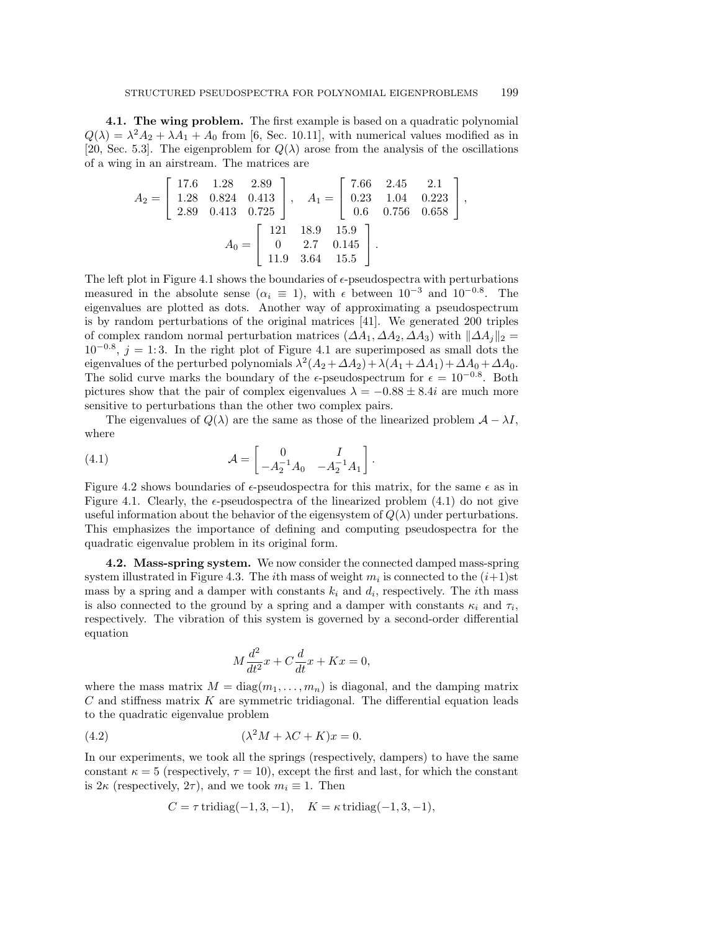**4.1. The wing problem.** The first example is based on a quadratic polynomial  $Q(\lambda) = \lambda^2 A_2 + \lambda A_1 + A_0$  from [6, Sec. 10.11], with numerical values modified as in [20, Sec. 5.3]. The eigenproblem for  $Q(\lambda)$  arose from the analysis of the oscillations of a wing in an airstream. The matrices are

$$
A_2 = \begin{bmatrix} 17.6 & 1.28 & 2.89 \\ 1.28 & 0.824 & 0.413 \\ 2.89 & 0.413 & 0.725 \end{bmatrix}, \quad A_1 = \begin{bmatrix} 7.66 & 2.45 & 2.1 \\ 0.23 & 1.04 & 0.223 \\ 0.6 & 0.756 & 0.658 \end{bmatrix},
$$

$$
A_0 = \begin{bmatrix} 121 & 18.9 & 15.9 \\ 0 & 2.7 & 0.145 \\ 11.9 & 3.64 & 15.5 \end{bmatrix}.
$$

The left plot in Figure 4.1 shows the boundaries of  $\epsilon$ -pseudospectra with perturbations measured in the absolute sense ( $\alpha_i \equiv 1$ ), with  $\epsilon$  between  $10^{-3}$  and  $10^{-0.8}$ . The eigenvalues are plotted as dots. Another way of approximating a pseudospectrum is by random perturbations of the original matrices [41]. We generated 200 triples of complex random normal perturbation matrices  $(\Delta A_1, \Delta A_2, \Delta A_3)$  with  $\|\Delta A_i\|_2 =$  $10^{-0.8}$ ,  $j = 1:3$ . In the right plot of Figure 4.1 are superimposed as small dots the eigenvalues of the perturbed polynomials  $\lambda^2(A_2 + \Delta A_2) + \lambda(A_1 + \Delta A_1) + \Delta A_0 + \Delta A_0$ . The solid curve marks the boundary of the  $\epsilon$ -pseudospectrum for  $\epsilon = 10^{-0.8}$ . Both pictures show that the pair of complex eigenvalues  $\lambda = -0.88 \pm 8.4i$  are much more sensitive to perturbations than the other two complex pairs.

The eigenvalues of  $Q(\lambda)$  are the same as those of the linearized problem  $\mathcal{A} - \lambda I$ , where

(4.1) 
$$
\mathcal{A} = \begin{bmatrix} 0 & I \\ -A_2^{-1}A_0 & -A_2^{-1}A_1 \end{bmatrix}.
$$

Figure 4.2 shows boundaries of  $\epsilon$ -pseudospectra for this matrix, for the same  $\epsilon$  as in Figure 4.1. Clearly, the  $\epsilon$ -pseudospectra of the linearized problem (4.1) do not give useful information about the behavior of the eigensystem of  $Q(\lambda)$  under perturbations. This emphasizes the importance of defining and computing pseudospectra for the quadratic eigenvalue problem in its original form.

**4.2. Mass-spring system.** We now consider the connected damped mass-spring system illustrated in Figure 4.3. The *i*th mass of weight  $m_i$  is connected to the  $(i+1)$ st mass by a spring and a damper with constants  $k_i$  and  $d_i$ , respectively. The *i*th mass is also connected to the ground by a spring and a damper with constants  $\kappa_i$  and  $\tau_i$ , respectively. The vibration of this system is governed by a second-order differential equation

$$
M\frac{d^2}{dt^2}x + C\frac{d}{dt}x + Kx = 0,
$$

where the mass matrix  $M = \text{diag}(m_1, \ldots, m_n)$  is diagonal, and the damping matrix  $C$  and stiffness matrix  $K$  are symmetric tridiagonal. The differential equation leads to the quadratic eigenvalue problem

(4.2) 
$$
(\lambda^2 M + \lambda C + K)x = 0.
$$

In our experiments, we took all the springs (respectively, dampers) to have the same constant  $\kappa = 5$  (respectively,  $\tau = 10$ ), except the first and last, for which the constant is  $2\kappa$  (respectively,  $2\tau$ ), and we took  $m_i \equiv 1$ . Then

$$
C = \tau \operatorname{tridiag}(-1, 3, -1), \quad K = \kappa \operatorname{tridiag}(-1, 3, -1),
$$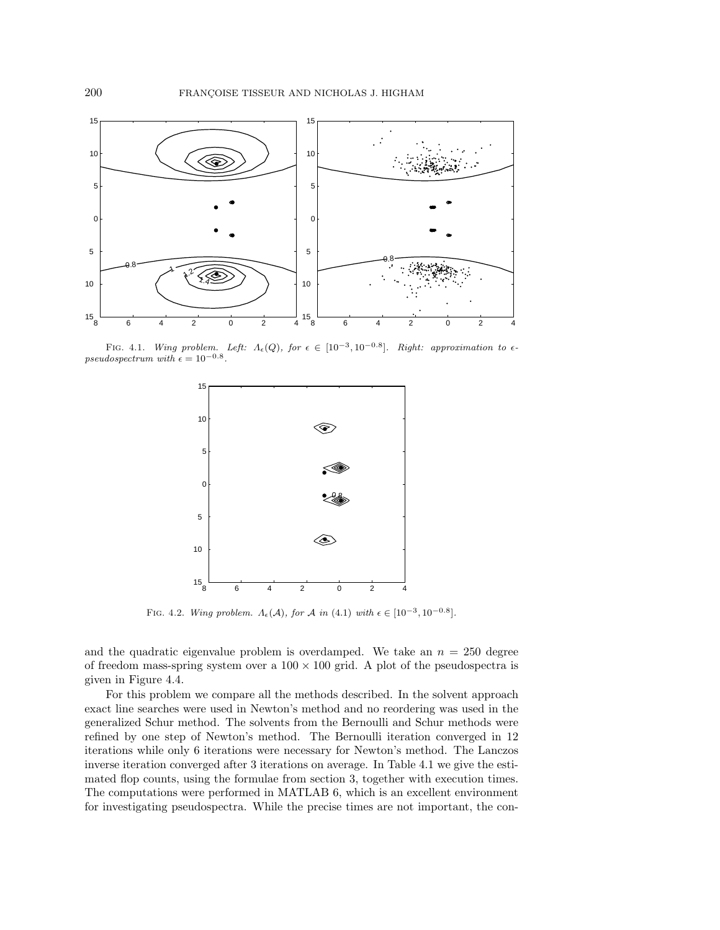

FIG. 4.1. Wing problem. Left:  $\Lambda_{\epsilon}(Q)$ , for  $\epsilon \in [10^{-3}, 10^{-0.8}]$ . Right: approximation to  $\epsilon$ -<br>pseudospectrum with  $\epsilon = 10^{-0.8}$ .



FIG. 4.2. Wing problem.  $\Lambda_{\epsilon}(\mathcal{A})$ , for  $\mathcal{A}$  in  $(4.1)$  with  $\epsilon \in [10^{-3}, 10^{-0.8}]$ .

and the quadratic eigenvalue problem is overdamped. We take an  $n = 250$  degree of freedom mass-spring system over a  $100 \times 100$  grid. A plot of the pseudospectra is given in Figure 4.4.

For this problem we compare all the methods described. In the solvent approach exact line searches were used in Newton's method and no reordering was used in the generalized Schur method. The solvents from the Bernoulli and Schur methods were refined by one step of Newton's method. The Bernoulli iteration converged in 12 iterations while only 6 iterations were necessary for Newton's method. The Lanczos inverse iteration converged after 3 iterations on average. In Table 4.1 we give the estimated flop counts, using the formulae from section 3, together with execution times. The computations were performed in MATLAB 6, which is an excellent environment for investigating pseudospectra. While the precise times are not important, the con-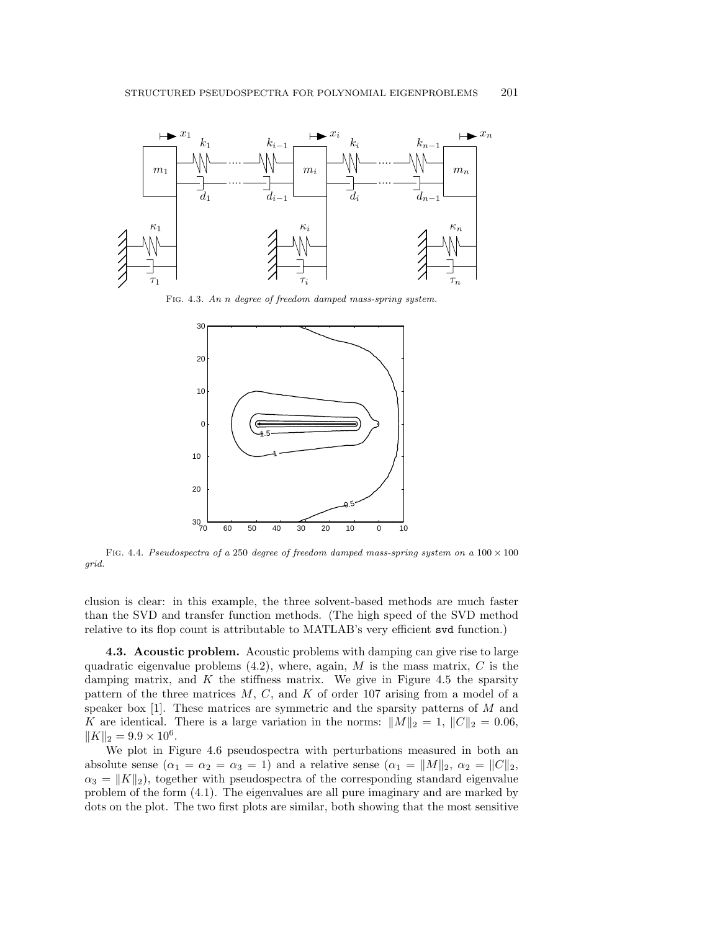

Fig. 4.3. An n degree of freedom damped mass-spring system.



FIG. 4.4. Pseudospectra of a 250 degree of freedom damped mass-spring system on a  $100 \times 100$ grid.

clusion is clear: in this example, the three solvent-based methods are much faster than the SVD and transfer function methods. (The high speed of the SVD method relative to its flop count is attributable to MATLAB's very efficient svd function.)

**4.3. Acoustic problem.** Acoustic problems with damping can give rise to large quadratic eigenvalue problems  $(4.2)$ , where, again, M is the mass matrix, C is the damping matrix, and  $K$  the stiffness matrix. We give in Figure 4.5 the sparsity pattern of the three matrices  $M, C$ , and  $K$  of order 107 arising from a model of a speaker box  $[1]$ . These matrices are symmetric and the sparsity patterns of M and K are identical. There is a large variation in the norms:  $||M||_2 = 1$ ,  $||C||_2 = 0.06$ ,  $||K||_2 = 9.9 \times 10^6$ .

We plot in Figure 4.6 pseudospectra with perturbations measured in both an absolute sense  $(\alpha_1 = \alpha_2 = \alpha_3 = 1)$  and a relative sense  $(\alpha_1 = ||M||_2, \alpha_2 = ||C||_2,$  $\alpha_3 = ||K||_2$ , together with pseudospectra of the corresponding standard eigenvalue problem of the form (4.1). The eigenvalues are all pure imaginary and are marked by dots on the plot. The two first plots are similar, both showing that the most sensitive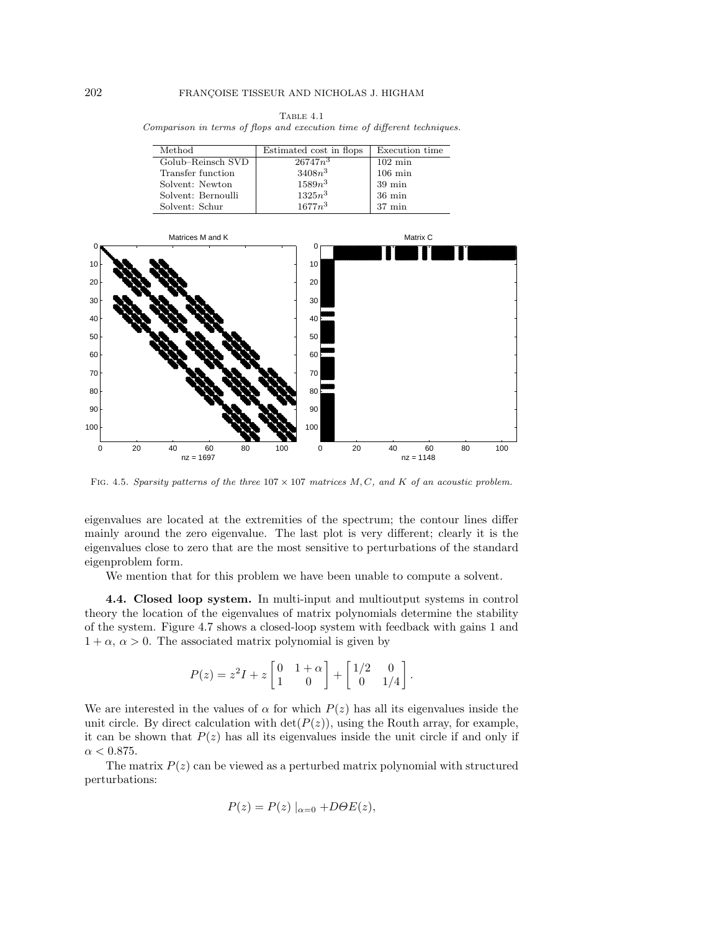|                                                                          |  |  | TABLE 4.1 |  |  |
|--------------------------------------------------------------------------|--|--|-----------|--|--|
| Comparison in terms of flops and execution time of different techniques. |  |  |           |  |  |
|                                                                          |  |  |           |  |  |

| Method             | Estimated cost in flops | Execution time    |
|--------------------|-------------------------|-------------------|
| Golub-Reinsch SVD  | $\sqrt{26747n^3}$       | $102 \text{ min}$ |
| Transfer function  | $3408n^3$               | $106 \text{ min}$ |
| Solvent: Newton    | $1589n^3$               | $39 \text{ min}$  |
| Solvent: Bernoulli | $1325n^3$               | $36 \text{ min}$  |
| Solvent: Schur     | $1677n^3$               | $37 \text{ min}$  |



FIG. 4.5. Sparsity patterns of the three  $107 \times 107$  matrices M, C, and K of an acoustic problem.

eigenvalues are located at the extremities of the spectrum; the contour lines differ mainly around the zero eigenvalue. The last plot is very different; clearly it is the eigenvalues close to zero that are the most sensitive to perturbations of the standard eigenproblem form.

We mention that for this problem we have been unable to compute a solvent.

**4.4. Closed loop system.** In multi-input and multioutput systems in control theory the location of the eigenvalues of matrix polynomials determine the stability of the system. Figure 4.7 shows a closed-loop system with feedback with gains 1 and  $1 + \alpha$ ,  $\alpha > 0$ . The associated matrix polynomial is given by

$$
P(z) = z2I + z \begin{bmatrix} 0 & 1 + \alpha \\ 1 & 0 \end{bmatrix} + \begin{bmatrix} 1/2 & 0 \\ 0 & 1/4 \end{bmatrix}.
$$

We are interested in the values of  $\alpha$  for which  $P(z)$  has all its eigenvalues inside the unit circle. By direct calculation with  $\det(P(z))$ , using the Routh array, for example, it can be shown that  $P(z)$  has all its eigenvalues inside the unit circle if and only if  $\alpha < 0.875$ .

The matrix  $P(z)$  can be viewed as a perturbed matrix polynomial with structured perturbations:

$$
P(z) = P(z) \mid_{\alpha=0} + D\Theta E(z),
$$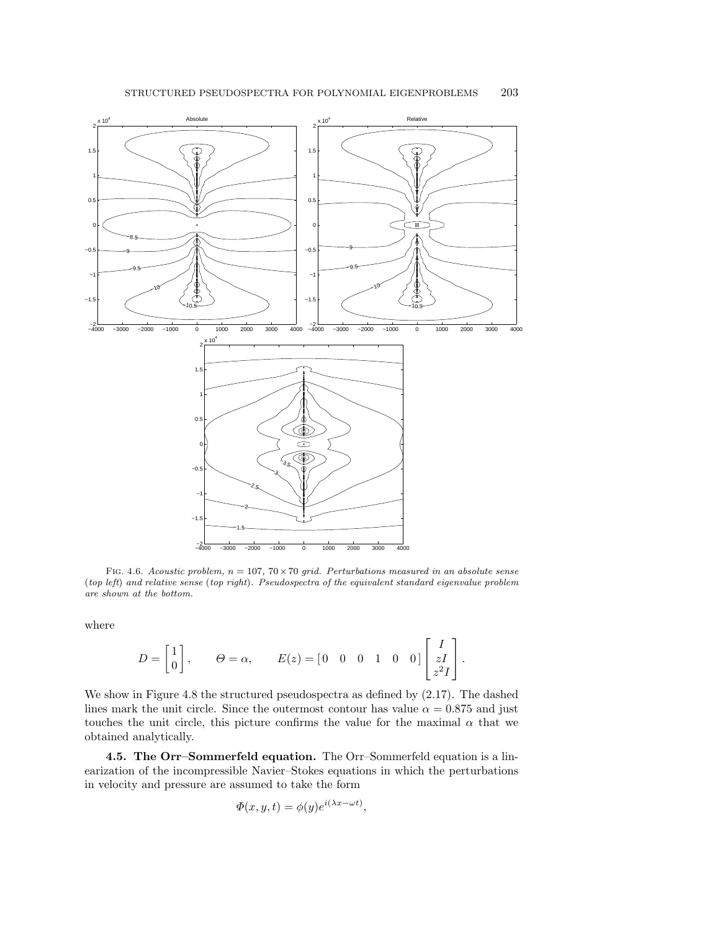

FIG. 4.6. Acoustic problem,  $n = 107$ ,  $70 \times 70$  grid. Perturbations measured in an absolute sense (top left) and relative sense (top right). Pseudospectra of the equivalent standard eigenvalue problem are shown at the bottom.

where

$$
D = \begin{bmatrix} 1 \\ 0 \end{bmatrix}, \qquad \Theta = \alpha, \qquad E(z) = \begin{bmatrix} 0 & 0 & 0 & 1 & 0 & 0 \end{bmatrix} \begin{bmatrix} I \\ zI \\ z^2I \end{bmatrix}.
$$

We show in Figure 4.8 the structured pseudospectra as defined by (2.17). The dashed lines mark the unit circle. Since the outermost contour has value  $\alpha = 0.875$  and just touches the unit circle, this picture confirms the value for the maximal  $\alpha$  that we obtained analytically.

**4.5. The Orr–Sommerfeld equation.** The Orr–Sommerfeld equation is a linearization of the incompressible Navier–Stokes equations in which the perturbations in velocity and pressure are assumed to take the form

$$
\Phi(x, y, t) = \phi(y)e^{i(\lambda x - \omega t)},
$$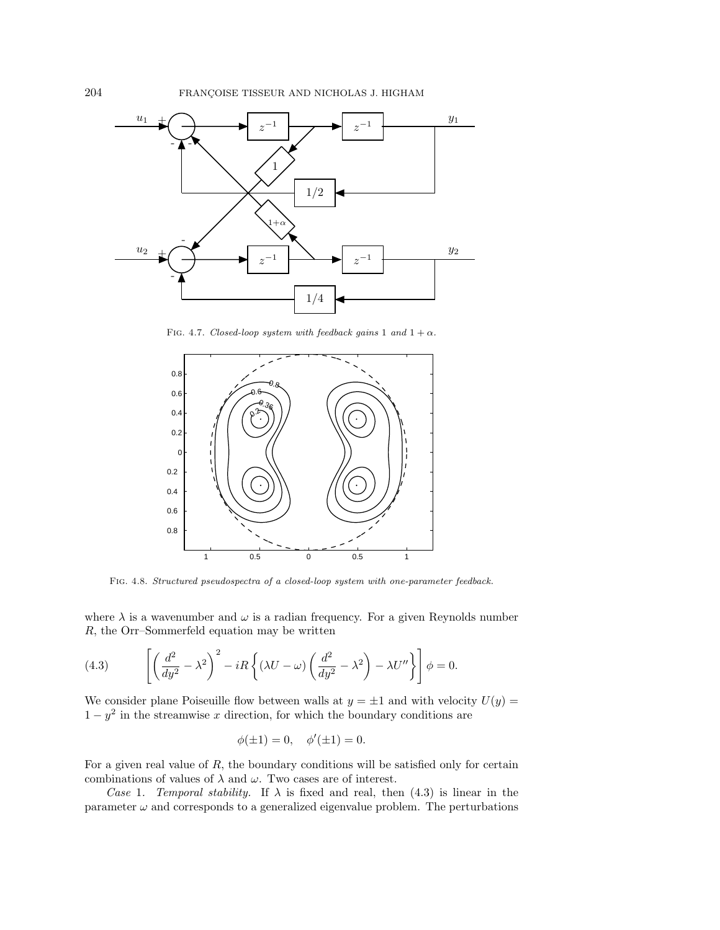

FIG. 4.7. Closed-loop system with feedback gains 1 and  $1 + \alpha$ .



Fig. 4.8. Structured pseudospectra of a closed-loop system with one-parameter feedback.

where  $\lambda$  is a wavenumber and  $\omega$  is a radian frequency. For a given Reynolds number R, the Orr–Sommerfeld equation may be written

(4.3) 
$$
\left[ \left( \frac{d^2}{dy^2} - \lambda^2 \right)^2 - iR \left\{ (\lambda U - \omega) \left( \frac{d^2}{dy^2} - \lambda^2 \right) - \lambda U'' \right\} \right] \phi = 0.
$$

We consider plane Poiseuille flow between walls at  $y = \pm 1$  and with velocity  $U(y) =$  $1 - y^2$  in the streamwise x direction, for which the boundary conditions are

$$
\phi(\pm 1) = 0, \quad \phi'(\pm 1) = 0.
$$

For a given real value of  $R$ , the boundary conditions will be satisfied only for certain combinations of values of  $\lambda$  and  $\omega$ . Two cases are of interest.

Case 1. Temporal stability. If  $\lambda$  is fixed and real, then (4.3) is linear in the parameter  $\omega$  and corresponds to a generalized eigenvalue problem. The perturbations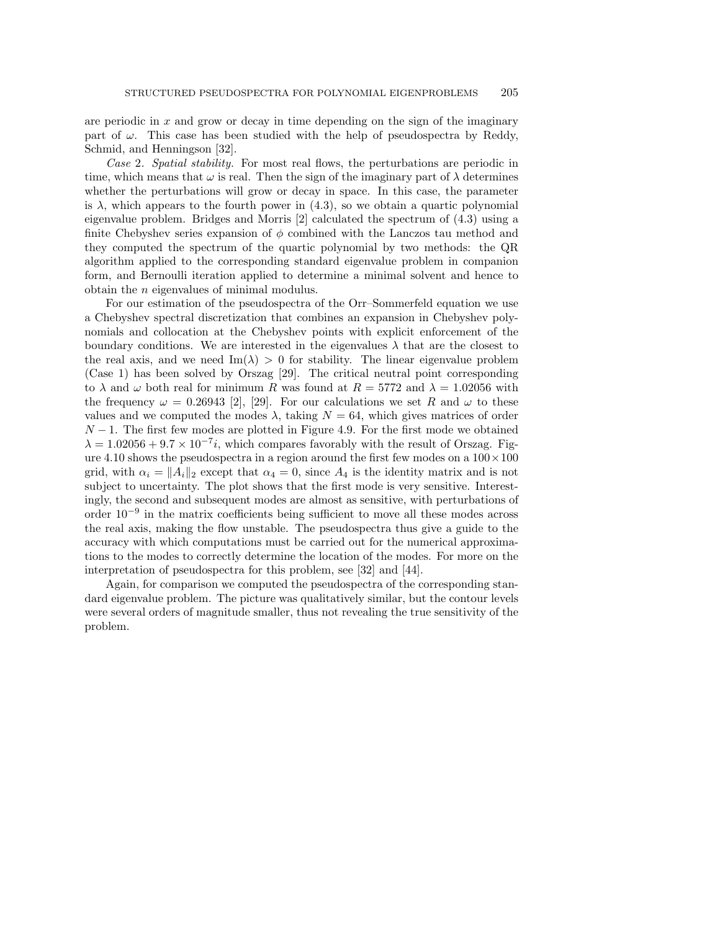are periodic in  $x$  and grow or decay in time depending on the sign of the imaginary part of  $\omega$ . This case has been studied with the help of pseudospectra by Reddy, Schmid, and Henningson [32].

Case 2. Spatial stability. For most real flows, the perturbations are periodic in time, which means that  $\omega$  is real. Then the sign of the imaginary part of  $\lambda$  determines whether the perturbations will grow or decay in space. In this case, the parameter is  $\lambda$ , which appears to the fourth power in (4.3), so we obtain a quartic polynomial eigenvalue problem. Bridges and Morris  $[2]$  calculated the spectrum of  $(4.3)$  using a finite Chebyshev series expansion of  $\phi$  combined with the Lanczos tau method and they computed the spectrum of the quartic polynomial by two methods: the QR algorithm applied to the corresponding standard eigenvalue problem in companion form, and Bernoulli iteration applied to determine a minimal solvent and hence to obtain the n eigenvalues of minimal modulus.

For our estimation of the pseudospectra of the Orr–Sommerfeld equation we use a Chebyshev spectral discretization that combines an expansion in Chebyshev polynomials and collocation at the Chebyshev points with explicit enforcement of the boundary conditions. We are interested in the eigenvalues  $\lambda$  that are the closest to the real axis, and we need Im( $\lambda$ ) > 0 for stability. The linear eigenvalue problem (Case 1) has been solved by Orszag [29]. The critical neutral point corresponding to  $\lambda$  and  $\omega$  both real for minimum R was found at  $R = 5772$  and  $\lambda = 1.02056$  with the frequency  $\omega = 0.26943$  [2], [29]. For our calculations we set R and  $\omega$  to these values and we computed the modes  $\lambda$ , taking  $N = 64$ , which gives matrices of order  $N-1$ . The first few modes are plotted in Figure 4.9. For the first mode we obtained  $\lambda = 1.02056 + 9.7 \times 10^{-7}i$ , which compares favorably with the result of Orszag. Figure 4.10 shows the pseudospectra in a region around the first few modes on a  $100 \times 100$ grid, with  $\alpha_i = ||A_i||_2$  except that  $\alpha_4 = 0$ , since  $A_4$  is the identity matrix and is not subject to uncertainty. The plot shows that the first mode is very sensitive. Interestingly, the second and subsequent modes are almost as sensitive, with perturbations of order  $10^{-9}$  in the matrix coefficients being sufficient to move all these modes across the real axis, making the flow unstable. The pseudospectra thus give a guide to the accuracy with which computations must be carried out for the numerical approximations to the modes to correctly determine the location of the modes. For more on the interpretation of pseudospectra for this problem, see [32] and [44].

Again, for comparison we computed the pseudospectra of the corresponding standard eigenvalue problem. The picture was qualitatively similar, but the contour levels were several orders of magnitude smaller, thus not revealing the true sensitivity of the problem.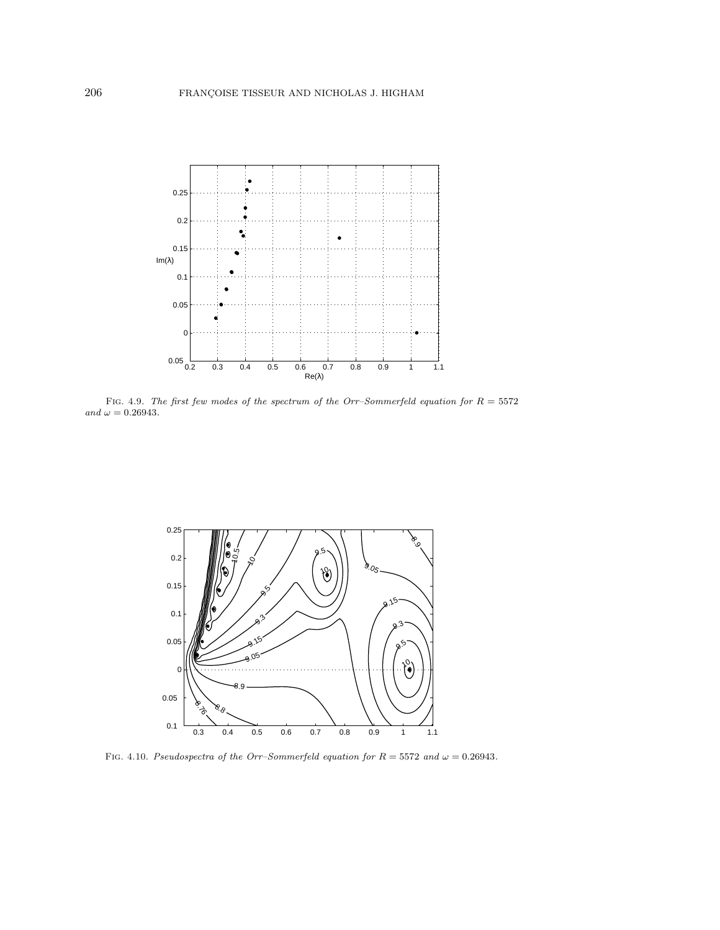

FIG. 4.9. The first few modes of the spectrum of the Orr–Sommerfeld equation for  $R = 5572$ and  $\omega = 0.26943$ .



FIG. 4.10. Pseudospectra of the Orr–Sommerfeld equation for  $R = 5572$  and  $\omega = 0.26943$ .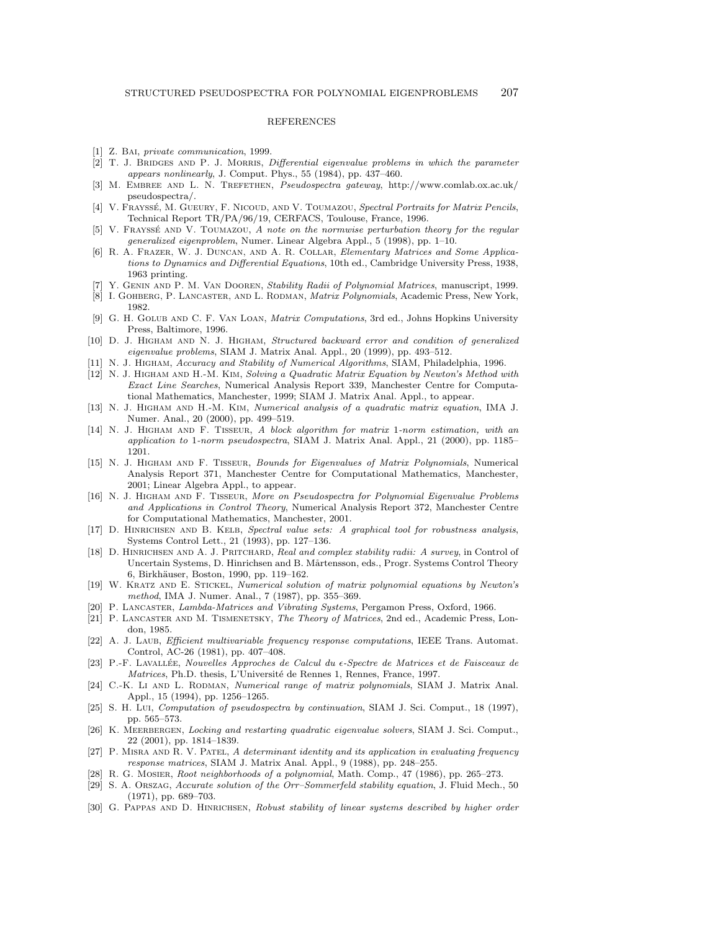## REFERENCES

- [1] Z. BAI, private communication, 1999.
- [2] T. J. BRIDGES AND P. J. MORRIS, Differential eigenvalue problems in which the parameter appears nonlinearly, J. Comput. Phys., 55 (1984), pp. 437–460.
- [3] M. EMBREE AND L. N. TREFETHEN, Pseudospectra gateway, http://www.comlab.ox.ac.uk/ pseudospectra/.
- [4] V. FRAYSSÉ, M. GUEURY, F. NICOUD, AND V. TOUMAZOU, Spectral Portraits for Matrix Pencils, Technical Report TR/PA/96/19, CERFACS, Toulouse, France, 1996.
- [5] V. FRAYSSÉ AND V. TOUMAZOU, A note on the normwise perturbation theory for the regular generalized eigenproblem, Numer. Linear Algebra Appl., 5 (1998), pp. 1–10.
- [6] R. A. Frazer, W. J. Duncan, and A. R. Collar, Elementary Matrices and Some Applications to Dynamics and Differential Equations, 10thed., Cambridge University Press, 1938, 1963 printing.
- [7] Y. GENIN AND P. M. VAN DOOREN, Stability Radii of Polynomial Matrices, manuscript, 1999.
- [8] I. GOHBERG, P. LANCASTER, AND L. RODMAN, *Matrix Polynomials*, Academic Press, New York, 1982.
- [9] G. H. Golub and C. F. Van Loan, Matrix Computations, 3rd ed., Johns Hopkins University Press, Baltimore, 1996.
- [10] D. J. Higham and N. J. Higham, Structured backward error and condition of generalized eigenvalue problems, SIAM J. Matrix Anal. Appl., 20 (1999), pp. 493–512.
- [11] N. J. HIGHAM, Accuracy and Stability of Numerical Algorithms, SIAM, Philadelphia, 1996.
- [12] N. J. Higham and H.-M. Kim, Solving a Quadratic Matrix Equation by Newton's Method with Exact Line Searches, Numerical Analysis Report 339, Manchester Centre for Computational Mathematics, Manchester, 1999; SIAM J. Matrix Anal. Appl., to appear.
- [13] N. J. Higham and H.-M. Kim, Numerical analysis of a quadratic matrix equation, IMA J. Numer. Anal., 20 (2000), pp. 499–519.
- [14] N. J. Higham and F. Tisseur, A block algorithm for matrix 1-norm estimation, with an application to 1-norm pseudospectra, SIAM J. Matrix Anal. Appl., 21 (2000), pp. 1185– 1201.
- [15] N. J. Higham and F. Tisseur, Bounds for Eigenvalues of Matrix Polynomials, Numerical Analysis Report 371, Manchester Centre for Computational Mathematics, Manchester, 2001; Linear Algebra Appl., to appear.
- [16] N. J. Higham and F. Tisseur, More on Pseudospectra for Polynomial Eigenvalue Problems and Applications in Control Theory, Numerical Analysis Report 372, Manchester Centre for Computational Mathematics, Manchester, 2001.
- [17] D. HINRICHSEN AND B. KELB, Spectral value sets: A graphical tool for robustness analysis, Systems Control Lett., 21 (1993), pp. 127–136.
- [18] D. HINRICHSEN AND A. J. PRITCHARD, Real and complex stability radii: A survey, in Control of Uncertain Systems, D. Hinrichsen and B. Mårtensson, eds., Progr. Systems Control Theory 6, Birkh¨auser, Boston, 1990, pp. 119–162.
- [19] W. Kratz and E. Stickel, Numerical solution of matrix polynomial equations by Newton's method, IMA J. Numer. Anal., 7 (1987), pp. 355–369.
- [20] P. Lancaster, Lambda-Matrices and Vibrating Systems, Pergamon Press, Oxford, 1966.
- [21] P. Lancaster and M. Tismenetsky, The Theory of Matrices, 2nd ed., Academic Press, London, 1985.
- [22] A. J. Laub, Efficient multivariable frequency response computations, IEEE Trans. Automat. Control, AC-26 (1981), pp. 407–408.
- [23] P.-F. LAVALLÉE, Nouvelles Approches de Calcul du  $\epsilon$ -Spectre de Matrices et de Faisceaux de Matrices, Ph.D. thesis, L'Université de Rennes 1, Rennes, France, 1997.
- [24] C.-K. Li AND L. RODMAN, Numerical range of matrix polynomials, SIAM J. Matrix Anal. Appl., 15 (1994), pp. 1256–1265.
- [25] S. H. Lui, Computation of pseudospectra by continuation, SIAM J. Sci. Comput., 18 (1997), pp. 565–573.
- [26] K. MEERBERGEN, Locking and restarting quadratic eigenvalue solvers, SIAM J. Sci. Comput., 22 (2001), pp. 1814–1839.
- [27] P. MISRA AND R. V. PATEL, A determinant identity and its application in evaluating frequency response matrices, SIAM J. Matrix Anal. Appl., 9 (1988), pp. 248–255.
- [28] R. G. MOSIER, Root neighborhoods of a polynomial, Math. Comp., 47 (1986), pp. 265-273.
- [29] S. A. Orszag, Accurate solution of the Orr–Sommerfeld stability equation, J. Fluid Mech., 50 (1971), pp. 689–703.
- [30] G. PAPPAS AND D. HINRICHSEN, Robust stability of linear systems described by higher order